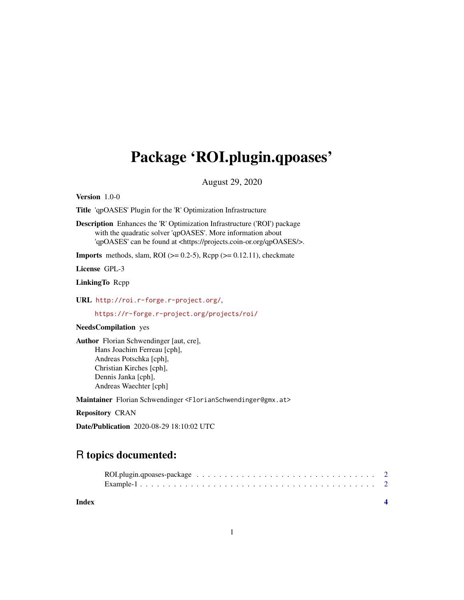## Package 'ROI.plugin.qpoases'

August 29, 2020

Version 1.0-0

Title 'qpOASES' Plugin for the 'R' Optimization Infrastructure

Description Enhances the 'R' Optimization Infrastructure ('ROI') package with the quadratic solver 'qpOASES'. More information about 'qpOASES' can be found at <https://projects.coin-or.org/qpOASES/>.

**Imports** methods, slam, ROI ( $> = 0.2-5$ ), Rcpp ( $> = 0.12.11$ ), checkmate

License GPL-3

LinkingTo Rcpp

URL <http://roi.r-forge.r-project.org/>,

<https://r-forge.r-project.org/projects/roi/>

#### NeedsCompilation yes

Author Florian Schwendinger [aut, cre], Hans Joachim Ferreau [cph], Andreas Potschka [cph], Christian Kirches [cph], Dennis Janka [cph], Andreas Waechter [cph]

Maintainer Florian Schwendinger <FlorianSchwendinger@gmx.at>

Repository CRAN

Date/Publication 2020-08-29 18:10:02 UTC

### R topics documented:

**Index** [4](#page-3-0)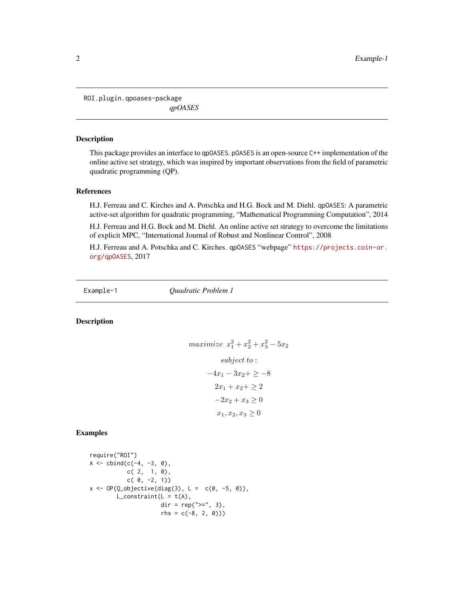<span id="page-1-0"></span>ROI.plugin.qpoases-package *qpOASES*

#### Description

This package provides an interface to qpOASES. pOASES is an open-source C++ implementation of the online active set strategy, which was inspired by important observations from the field of parametric quadratic programming (QP).

#### References

H.J. Ferreau and C. Kirches and A. Potschka and H.G. Bock and M. Diehl. qpOASES: A parametric active-set algorithm for quadratic programming, "Mathematical Programming Computation", 2014

H.J. Ferreau and H.G. Bock and M. Diehl. An online active set strategy to overcome the limitations of explicit MPC, "International Journal of Robust and Nonlinear Control", 2008

H.J. Ferreau and A. Potschka and C. Kirches. qpOASES "webpage" [https://projects.coin-or.](https://projects.coin-or.org/qpOASES) [org/qpOASES](https://projects.coin-or.org/qpOASES), 2017

Example-1 *Quadratic Problem 1*

#### Description

$$
maximize \ x_1^2 + x_2^2 + x_3^2 - 5x_2
$$
  
\n
$$
subject \ t0:
$$
  
\n
$$
-4x_1 - 3x_2 + \ge -8
$$
  
\n
$$
2x_1 + x_2 + \ge 2
$$
  
\n
$$
-2x_2 + x_3 \ge 0
$$
  
\n
$$
x_1, x_2, x_3 \ge 0
$$

#### Examples

```
require("ROI")
A \le - \text{cbind}(c(-4, -3, 0)),c( 2, 1, 0),
           c( 0, -2, 1)x \le - OP(Q_objective(diag(3), L = c(0, -5, 0)),
        L_{\text{constant}}(L = t(A)),dir = rep(">=", 3),rhs = c(-8, 2, 0))
```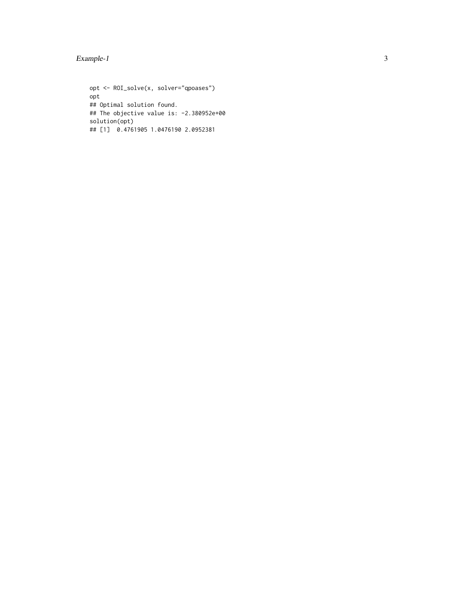#### Example-1

opt <- ROI\_solve(x, solver="qpoases") opt ## Optimal solution found. ## The objective value is: -2.380952e+00 solution(opt) ## [1] 0.4761905 1.0476190 2.0952381